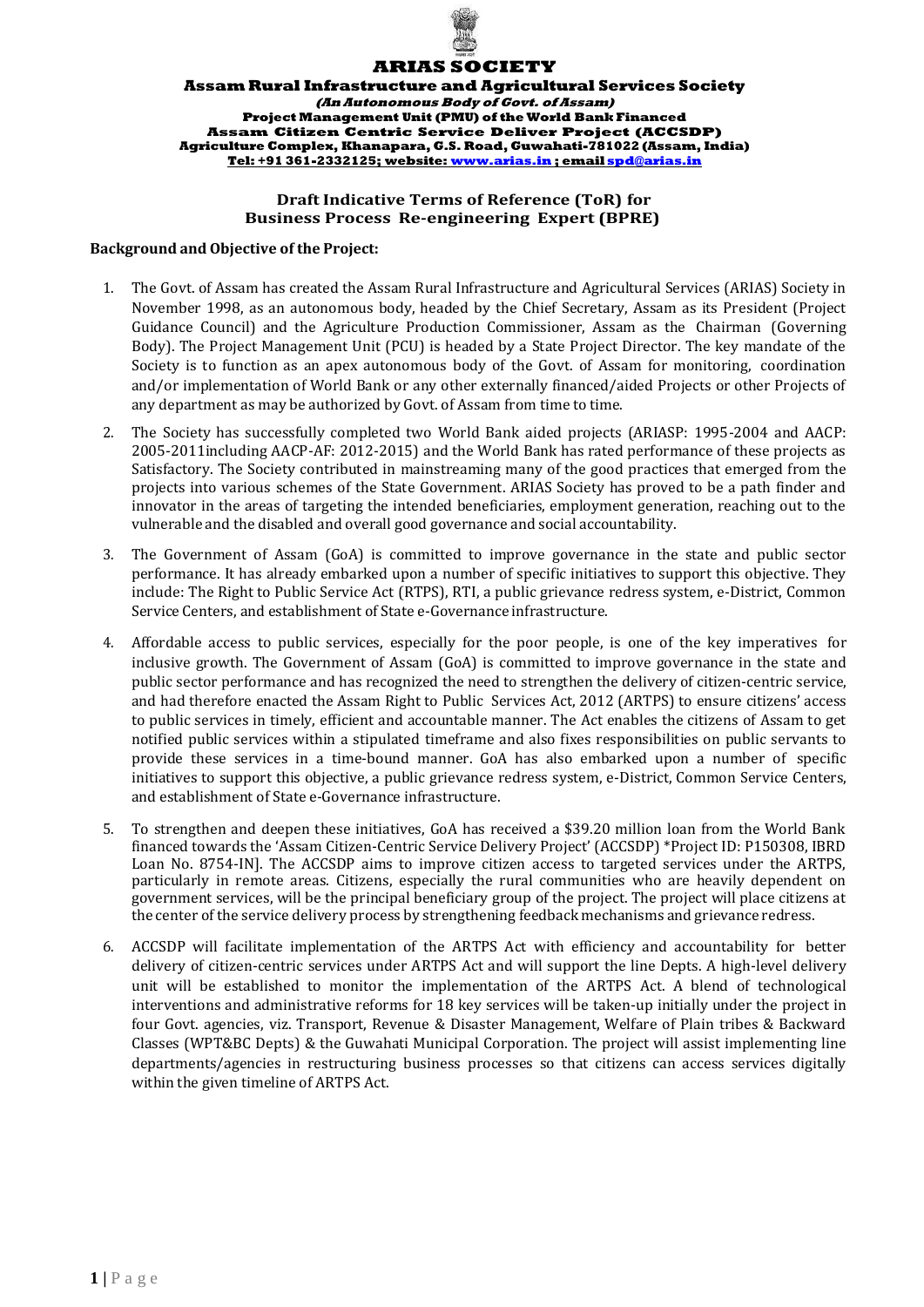

## **ARIAS SOCIETY**

**AssamRural Infrastructure and Agricultural Services Society (An Autonomous Body of Govt. of Assam) Project Management Unit (PMU) of theWorld Bank Financed Assam Citizen Centric Service Deliver Project (ACCSDP) Agriculture Complex, Khanapara, G.S. Road, Guwahati-781022 (Assam, India) Tel: +91 361-2332125; website[: www.arias.in](http://www.arias.in/) ; email [spd@arias.in](mailto:spd@arias.in)**

# **Draft Indicative Terms of Reference (ToR) for Business Process Re-engineering Expert (BPRE)**

#### **Background and Objective of the Project:**

- 1. The Govt. of Assam has created the Assam Rural Infrastructure and Agricultural Services (ARIAS) Society in November 1998, as an autonomous body, headed by the Chief Secretary, Assam as its President (Project Guidance Council) and the Agriculture Production Commissioner, Assam as the Chairman (Governing Body). The Project Management Unit (PCU) is headed by a State Project Director. The key mandate of the Society is to function as an apex autonomous body of the Govt. of Assam for monitoring, coordination and/or implementation of World Bank or any other externally financed/aided Projects or other Projects of any department as may be authorized by Govt. of Assam from time to time.
- 2. The Society has successfully completed two World Bank aided projects (ARIASP: 1995-2004 and AACP: 2005-2011including AACP-AF: 2012-2015) and the World Bank has rated performance of these projects as Satisfactory. The Society contributed in mainstreaming many of the good practices that emerged from the projects into various schemes of the State Government. ARIAS Society has proved to be a path finder and innovator in the areas of targeting the intended beneficiaries, employment generation, reaching out to the vulnerable and the disabled and overall good governance and social accountability.
- 3. The Government of Assam (GoA) is committed to improve governance in the state and public sector performance. It has already embarked upon a number of specific initiatives to support this objective. They include: The Right to Public Service Act (RTPS), RTI, a public grievance redress system, e-District, Common Service Centers, and establishment of State e-Governance infrastructure.
- 4. Affordable access to public services, especially for the poor people, is one of the key imperatives for inclusive growth. The Government of Assam (GoA) is committed to improve governance in the state and public sector performance and has recognized the need to strengthen the delivery of citizen-centric service, and had therefore enacted the Assam Right to Public Services Act, 2012 (ARTPS) to ensure citizens' access to public services in timely, efficient and accountable manner. The Act enables the citizens of Assam to get notified public services within a stipulated timeframe and also fixes responsibilities on public servants to provide these services in a time-bound manner. GoA has also embarked upon a number of specific initiatives to support this objective, a public grievance redress system, e-District, Common Service Centers, and establishment of State e-Governance infrastructure.
- 5. To strengthen and deepen these initiatives, GoA has received a \$39.20 million loan from the World Bank financed towards the 'Assam Citizen-Centric Service Delivery Project' (ACCSDP) \*Project ID: P150308, IBRD Loan No. 8754-IN]. The ACCSDP aims to improve citizen access to targeted services under the ARTPS, particularly in remote areas. Citizens, especially the rural communities who are heavily dependent on government services, will be the principal beneficiary group of the project. The project will place citizens at the center of the service delivery process by strengthening feedback mechanisms and grievance redress.
- 6. ACCSDP will facilitate implementation of the ARTPS Act with efficiency and accountability for better delivery of citizen-centric services under ARTPS Act and will support the line Depts. A high-level delivery unit will be established to monitor the implementation of the ARTPS Act. A blend of technological interventions and administrative reforms for 18 key services will be taken-up initially under the project in four Govt. agencies, viz. Transport, Revenue & Disaster Management, Welfare of Plain tribes & Backward Classes (WPT&BC Depts) & the Guwahati Municipal Corporation. The project will assist implementing line departments/agencies in restructuring business processes so that citizens can access services digitally within the given timeline of ARTPS Act.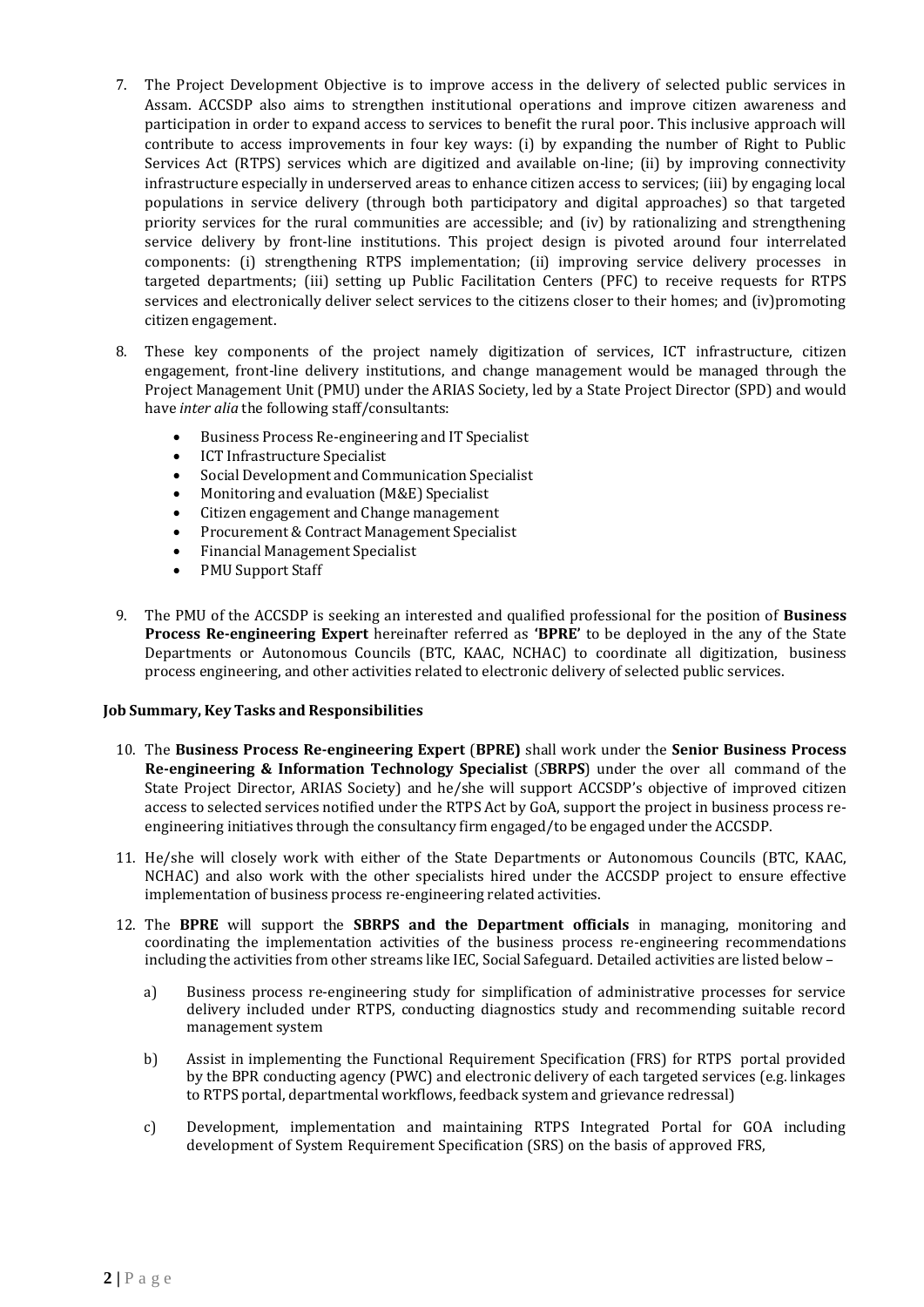- 7. The Project Development Objective is to improve access in the delivery of selected public services in Assam. ACCSDP also aims to strengthen institutional operations and improve citizen awareness and participation in order to expand access to services to benefit the rural poor. This inclusive approach will contribute to access improvements in four key ways: (i) by expanding the number of Right to Public Services Act (RTPS) services which are digitized and available on-line; (ii) by improving connectivity infrastructure especially in underserved areas to enhance citizen access to services; (iii) by engaging local populations in service delivery (through both participatory and digital approaches) so that targeted priority services for the rural communities are accessible; and (iv) by rationalizing and strengthening service delivery by front-line institutions. This project design is pivoted around four interrelated components: (i) strengthening RTPS implementation; (ii) improving service delivery processes in targeted departments; (iii) setting up Public Facilitation Centers (PFC) to receive requests for RTPS services and electronically deliver select services to the citizens closer to their homes; and (iv)promoting citizen engagement.
- 8. These key components of the project namely digitization of services, ICT infrastructure, citizen engagement, front-line delivery institutions, and change management would be managed through the Project Management Unit (PMU) under the ARIAS Society, led by a State Project Director (SPD) and would have *inter alia* the following staff/consultants:
	- Business Process Re-engineering and IT Specialist
	- ICT Infrastructure Specialist
	- Social Development and Communication Specialist
	- Monitoring and evaluation (M&E) Specialist
	- Citizen engagement and Change management
	- Procurement & Contract Management Specialist
	- Financial Management Specialist
	- PMU Support Staff
- 9. The PMU of the ACCSDP is seeking an interested and qualified professional for the position of **Business Process Re-engineering Expert** hereinafter referred as **'BPRE'** to be deployed in the any of the State Departments or Autonomous Councils (BTC, KAAC, NCHAC) to coordinate all digitization, business process engineering, and other activities related to electronic delivery of selected public services.

#### **Job Summary, Key Tasks and Responsibilities**

- 10. The **Business Process Re-engineering Expert** (**BPRE)** shall work under the **Senior Business Process Re-engineering & Information Technology Specialist** (*S***BRPS**) under the over all command of the State Project Director, ARIAS Society) and he/she will support ACCSDP's objective of improved citizen access to selected services notified under the RTPS Act by GoA, support the project in business process reengineering initiatives through the consultancy firm engaged/to be engaged under the ACCSDP.
- 11. He/she will closely work with either of the State Departments or Autonomous Councils (BTC, KAAC, NCHAC) and also work with the other specialists hired under the ACCSDP project to ensure effective implementation of business process re-engineering related activities.
- 12. The **BPRE** will support the **SBRPS and the Department officials** in managing, monitoring and coordinating the implementation activities of the business process re-engineering recommendations including the activities from other streams like IEC, Social Safeguard. Detailed activities are listed below –
	- a) Business process re-engineering study for simplification of administrative processes for service delivery included under RTPS, conducting diagnostics study and recommending suitable record management system
	- b) Assist in implementing the Functional Requirement Specification (FRS) for RTPS portal provided by the BPR conducting agency (PWC) and electronic delivery of each targeted services (e.g. linkages to RTPS portal, departmental workflows, feedback system and grievance redressal)
	- c) Development, implementation and maintaining RTPS Integrated Portal for GOA including development of System Requirement Specification (SRS) on the basis of approved FRS,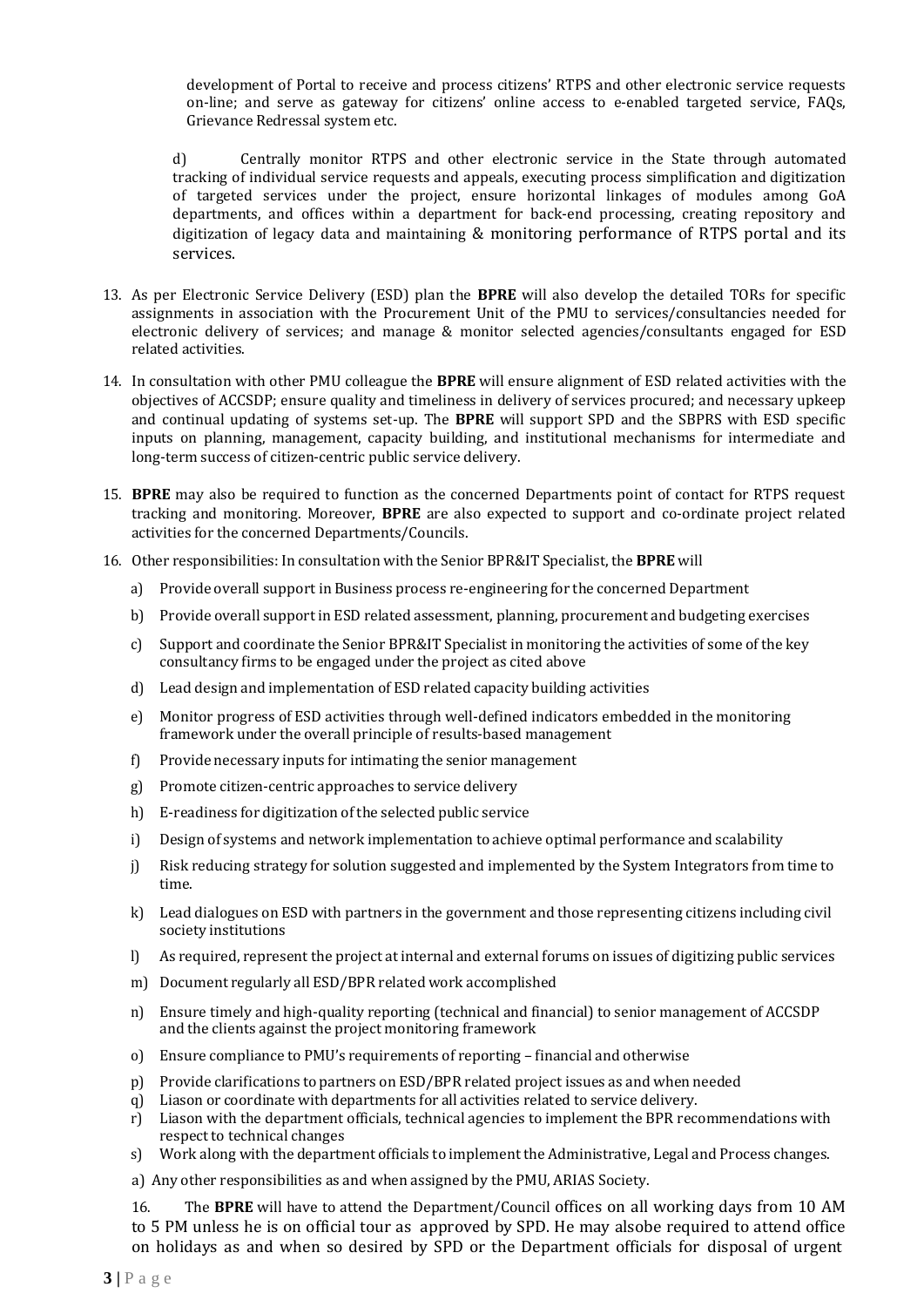development of Portal to receive and process citizens' RTPS and other electronic service requests on-line; and serve as gateway for citizens' online access to e-enabled targeted service, FAQs, Grievance Redressal system etc.

d) Centrally monitor RTPS and other electronic service in the State through automated tracking of individual service requests and appeals, executing process simplification and digitization of targeted services under the project, ensure horizontal linkages of modules among GoA departments, and offices within a department for back-end processing, creating repository and digitization of legacy data and maintaining & monitoring performance of RTPS portal and its services.

- 13. As per Electronic Service Delivery (ESD) plan the **BPRE** will also develop the detailed TORs for specific assignments in association with the Procurement Unit of the PMU to services/consultancies needed for electronic delivery of services; and manage & monitor selected agencies/consultants engaged for ESD related activities.
- 14. In consultation with other PMU colleague the **BPRE** will ensure alignment of ESD related activities with the objectives of ACCSDP; ensure quality and timeliness in delivery of services procured; and necessary upkeep and continual updating of systems set-up. The **BPRE** will support SPD and the SBPRS with ESD specific inputs on planning, management, capacity building, and institutional mechanisms for intermediate and long-term success of citizen-centric public service delivery.
- 15. **BPRE** may also be required to function as the concerned Departments point of contact for RTPS request tracking and monitoring. Moreover, **BPRE** are also expected to support and co-ordinate project related activities for the concerned Departments/Councils.
- 16. Other responsibilities: In consultation with the Senior BPR&IT Specialist, the **BPRE** will
	- a) Provide overall support in Business process re-engineering for the concerned Department
	- b) Provide overall support in ESD related assessment, planning, procurement and budgeting exercises
	- c) Support and coordinate the Senior BPR&IT Specialist in monitoring the activities of some of the key consultancy firms to be engaged under the project as cited above
	- d) Lead design and implementation of ESD related capacity building activities
	- e) Monitor progress of ESD activities through well-defined indicators embedded in the monitoring framework under the overall principle of results-based management
	- f) Provide necessary inputs for intimating the senior management
	- g) Promote citizen-centric approaches to service delivery
	- h) E-readiness for digitization of the selected public service
	- i) Design of systems and network implementation to achieve optimal performance and scalability
	- j) Risk reducing strategy for solution suggested and implemented by the System Integrators from time to time.
	- k) Lead dialogues on ESD with partners in the government and those representing citizens including civil society institutions
	- l) As required, represent the project at internal and external forums on issues of digitizing public services
	- m) Document regularly all ESD/BPR related work accomplished
	- n) Ensure timely and high-quality reporting (technical and financial) to senior management of ACCSDP and the clients against the project monitoring framework
	- o) Ensure compliance to PMU's requirements of reporting financial and otherwise
	- p) Provide clarifications to partners on ESD/BPR related project issues as and when needed
	- q) Liason or coordinate with departments for all activities related to service delivery.
	- r) Liason with the department officials, technical agencies to implement the BPR recommendations with respect to technical changes
	- s) Work along with the department officials to implement the Administrative, Legal and Process changes.
	- a) Any other responsibilities as and when assigned by the PMU, ARIAS Society.

16. The **BPRE** will have to attend the Department/Council offices on all working days from 10 AM to 5 PM unless he is on official tour as approved by SPD. He may alsobe required to attend office on holidays as and when so desired by SPD or the Department officials for disposal of urgent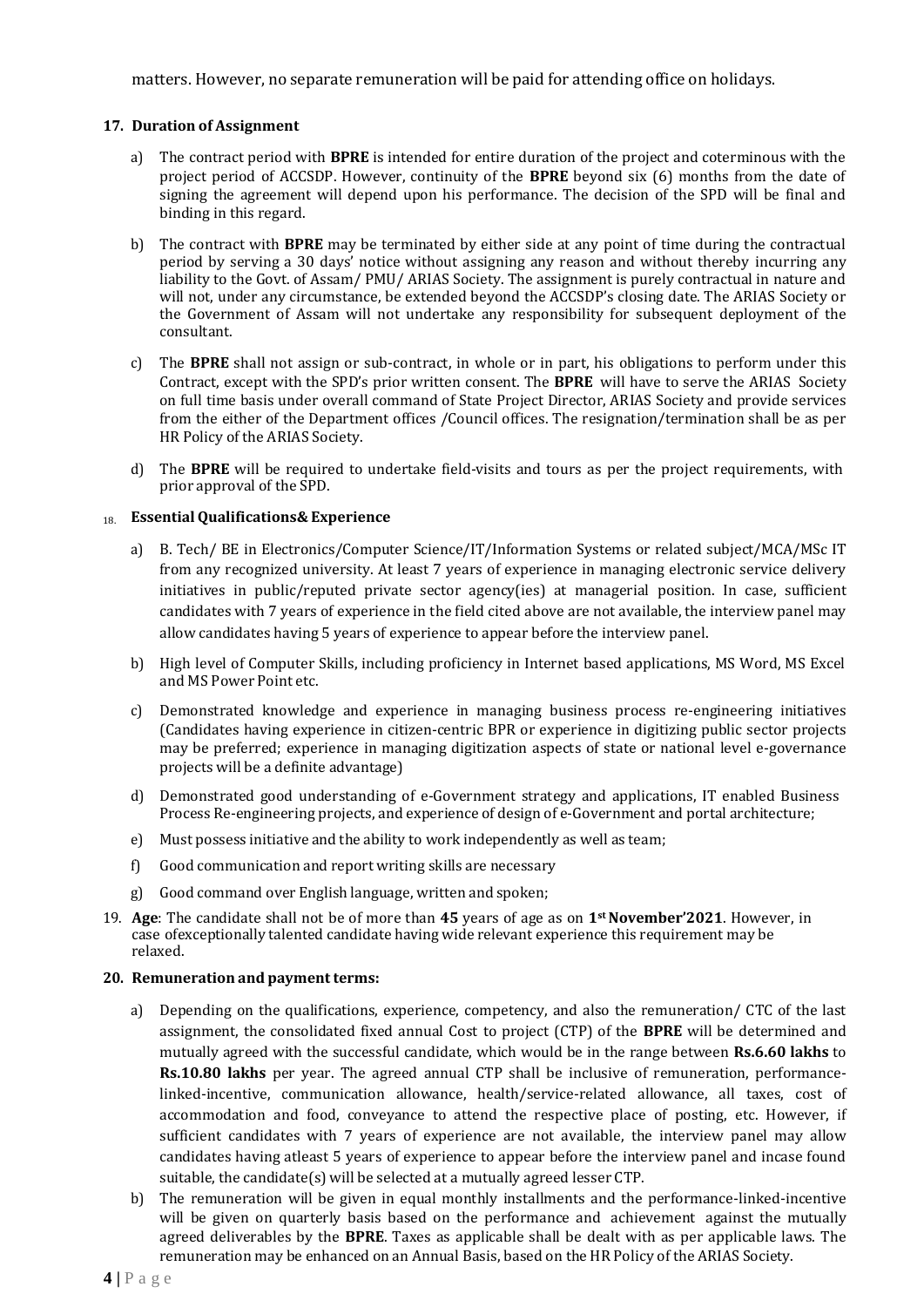## **17. Duration of Assignment**

- a) The contract period with **BPRE** is intended for entire duration of the project and coterminous with the project period of ACCSDP. However, continuity of the **BPRE** beyond six (6) months from the date of signing the agreement will depend upon his performance. The decision of the SPD will be final and binding in this regard.
- b) The contract with **BPRE** may be terminated by either side at any point of time during the contractual period by serving a 30 days' notice without assigning any reason and without thereby incurring any liability to the Govt. of Assam/ PMU/ ARIAS Society. The assignment is purely contractual in nature and will not, under any circumstance, be extended beyond the ACCSDP's closing date. The ARIAS Society or the Government of Assam will not undertake any responsibility for subsequent deployment of the consultant.
- c) The **BPRE** shall not assign or sub-contract, in whole or in part, his obligations to perform under this Contract, except with the SPD's prior written consent. The **BPRE** will have to serve the ARIAS Society on full time basis under overall command of State Project Director, ARIAS Society and provide services from the either of the Department offices /Council offices. The resignation/termination shall be as per HR Policy of the ARIAS Society.
- d) The **BPRE** will be required to undertake field-visits and tours as per the project requirements, with prior approval of the SPD.

#### 18. **EssentialQualifications& Experience**

- a) B. Tech/ BE in Electronics/Computer Science/IT/Information Systems or related subject/MCA/MSc IT from any recognized university. At least 7 years of experience in managing electronic service delivery initiatives in public/reputed private sector agency(ies) at managerial position. In case, sufficient candidates with 7 years of experience in the field cited above are not available, the interview panel may allow candidates having 5 years of experience to appear before the interview panel.
- b) High level of Computer Skills, including proficiency in Internet based applications, MS Word, MS Excel and MS Power Point etc.
- c) Demonstrated knowledge and experience in managing business process re-engineering initiatives (Candidates having experience in citizen-centric BPR or experience in digitizing public sector projects may be preferred; experience in managing digitization aspects of state or national level e-governance projects will be a definite advantage)
- d) Demonstrated good understanding of e-Government strategy and applications, IT enabled Business Process Re-engineering projects, and experience of design of e-Government and portal architecture;
- e) Must possess initiative and the ability to work independently as well as team;
- f) Good communication and report writing skills are necessary
- g) Good command over English language, written and spoken;
- 19. **Age**: The candidate shall not be of more than **45** years of age as on **1stNovember'2021**. However, in case ofexceptionally talented candidate having wide relevant experience this requirement may be relaxed.

#### **20.** Remuneration and payment terms:

- a) Depending on the qualifications, experience, competency, and also the remuneration/ CTC of the last assignment, the consolidated fixed annual Cost to project (CTP) of the **BPRE** will be determined and mutually agreed with the successful candidate, which would be in the range between **Rs.6.60 lakhs** to **Rs.10.80 lakhs** per year. The agreed annual CTP shall be inclusive of remuneration, performancelinked-incentive, communication allowance, health/service-related allowance, all taxes, cost of accommodation and food, conveyance to attend the respective place of posting, etc. However, if sufficient candidates with 7 years of experience are not available, the interview panel may allow candidates having atleast 5 years of experience to appear before the interview panel and incase found suitable, the candidate(s) will be selected at a mutually agreed lesser CTP.
- b) The remuneration will be given in equal monthly installments and the performance-linked-incentive will be given on quarterly basis based on the performance and achievement against the mutually agreed deliverables by the **BPRE**. Taxes as applicable shall be dealt with as per applicable laws. The remuneration may be enhanced on an Annual Basis, based on the HR Policy of the ARIAS Society.